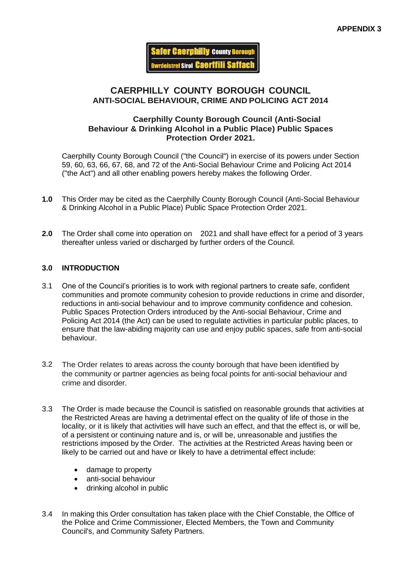**Safer Caernhilly County Borough wrdeistref Sirol Caerffili Saffac** 

## **CAERPHILLY COUNTY BOROUGH COUNCIL ANTI-SOCIAL BEHAVIOUR, CRIME AND POLICING ACT 2014**

### **Caerphilly County Borough Council (Anti-Social Behaviour & Drinking Alcohol in a Public Place) Public Spaces Protection Order 2021.**

Caerphilly County Borough Council ("the Council") in exercise of its powers under Section 59, 60, 63, 66, 67, 68, and 72 of the Anti-Social Behaviour Crime and Policing Act 2014 ("the Act") and all other enabling powers hereby makes the following Order.

- **1.0** This Order may be cited as the Caerphilly County Borough Council (Anti-Social Behaviour & Drinking Alcohol in a Public Place) Public Space Protection Order 2021.
- **2.0** The Order shall come into operation on 2021 and shall have effect for a period of 3 years thereafter unless varied or discharged by further orders of the Council.

#### **3.0 INTRODUCTION**

- 3.1 One of the Council's priorities is to work with regional partners to create safe, confident communities and promote community cohesion to provide reductions in crime and disorder, reductions in anti-social behaviour and to improve community confidence and cohesion. Public Spaces Protection Orders introduced by the Anti-social Behaviour, Crime and Policing Act 2014 (the Act) can be used to regulate activities in particular public places, to ensure that the law-abiding majority can use and enjoy public spaces, safe from anti-social behaviour.
- 3.2 The Order relates to areas across the county borough that have been identified by the community or partner agencies as being focal points for anti-social behaviour and crime and disorder.
- 3.3 The Order is made because the Council is satisfied on reasonable grounds that activities at the Restricted Areas are having a detrimental effect on the quality of life of those in the locality, or it is likely that activities will have such an effect, and that the effect is, or will be, of a persistent or continuing nature and is, or will be, unreasonable and justifies the restrictions imposed by the Order. The activities at the Restricted Areas having been or likely to be carried out and have or likely to have a detrimental effect include:
	- damage to property
	- anti-social behaviour
	- drinking alcohol in public
- 3.4 In making this Order consultation has taken place with the Chief Constable, the Office of the Police and Crime Commissioner, Elected Members, the Town and Community Council's, and Community Safety Partners.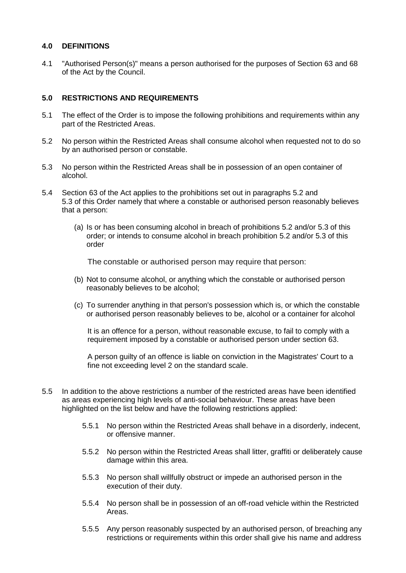#### **4.0 DEFINITIONS**

4.1 "Authorised Person(s)" means a person authorised for the purposes of Section 63 and 68 of the Act by the Council.

#### **5.0 RESTRICTIONS AND REQUIREMENTS**

- 5.1 The effect of the Order is to impose the following prohibitions and requirements within any part of the Restricted Areas.
- 5.2 No person within the Restricted Areas shall consume alcohol when requested not to do so by an authorised person or constable.
- 5.3 No person within the Restricted Areas shall be in possession of an open container of alcohol.
- 5.4 Section 63 of the Act applies to the prohibitions set out in paragraphs 5.2 and 5.3 of this Order namely that where a constable or authorised person reasonably believes that a person:
	- (a) Is or has been consuming alcohol in breach of prohibitions 5.2 and/or 5.3 of this order; or intends to consume alcohol in breach prohibition 5.2 and/or 5.3 of this order

The constable or authorised person may require that person:

- (b) Not to consume alcohol, or anything which the constable or authorised person reasonably believes to be alcohol;
- (c) To surrender anything in that person's possession which is, or which the constable or authorised person reasonably believes to be, alcohol or a container for alcohol

It is an offence for a person, without reasonable excuse, to fail to comply with a requirement imposed by a constable or authorised person under section 63.

A person guilty of an offence is liable on conviction in the Magistrates' Court to a fine not exceeding level 2 on the standard scale.

- 5.5 In addition to the above restrictions a number of the restricted areas have been identified as areas experiencing high levels of anti-social behaviour. These areas have been highlighted on the list below and have the following restrictions applied:
	- 5.5.1 No person within the Restricted Areas shall behave in a disorderly, indecent, or offensive manner.
	- 5.5.2 No person within the Restricted Areas shall litter, graffiti or deliberately cause damage within this area.
	- 5.5.3 No person shall willfully obstruct or impede an authorised person in the execution of their duty.
	- 5.5.4 No person shall be in possession of an off-road vehicle within the Restricted Areas.
	- 5.5.5 Any person reasonably suspected by an authorised person, of breaching any restrictions or requirements within this order shall give his name and address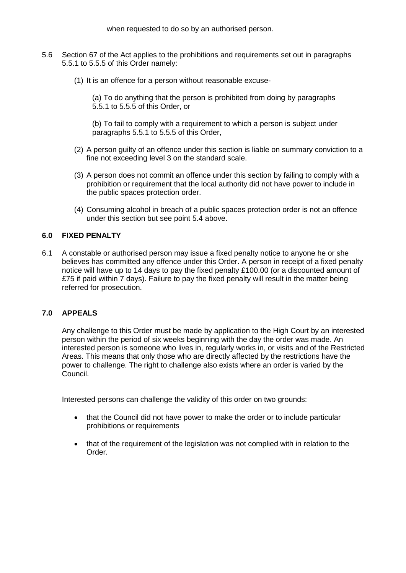when requested to do so by an authorised person.

- 5.6 Section 67 of the Act applies to the prohibitions and requirements set out in paragraphs 5.5.1 to 5.5.5 of this Order namely:
	- (1) It is an offence for a person without reasonable excuse-

(a) To do anything that the person is prohibited from doing by paragraphs 5.5.1 to 5.5.5 of this Order, or

(b) To fail to comply with a requirement to which a person is subject under paragraphs 5.5.1 to 5.5.5 of this Order,

- (2) A person guilty of an offence under this section is liable on summary conviction to a fine not exceeding level 3 on the standard scale.
- (3) A person does not commit an offence under this section by failing to comply with a prohibition or requirement that the local authority did not have power to include in the public spaces protection order.
- (4) Consuming alcohol in breach of a public spaces protection order is not an offence under this section but see point 5.4 above.

#### **6.0 FIXED PENALTY**

6.1 A constable or authorised person may issue a fixed penalty notice to anyone he or she believes has committed any offence under this Order. A person in receipt of a fixed penalty notice will have up to 14 days to pay the fixed penalty £100.00 (or a discounted amount of £75 if paid within 7 days). Failure to pay the fixed penalty will result in the matter being referred for prosecution.

#### **7.0 APPEALS**

Any challenge to this Order must be made by application to the High Court by an interested person within the period of six weeks beginning with the day the order was made. An interested person is someone who lives in, regularly works in, or visits and of the Restricted Areas. This means that only those who are directly affected by the restrictions have the power to challenge. The right to challenge also exists where an order is varied by the Council.

Interested persons can challenge the validity of this order on two grounds:

- that the Council did not have power to make the order or to include particular prohibitions or requirements
- that of the requirement of the legislation was not complied with in relation to the Order.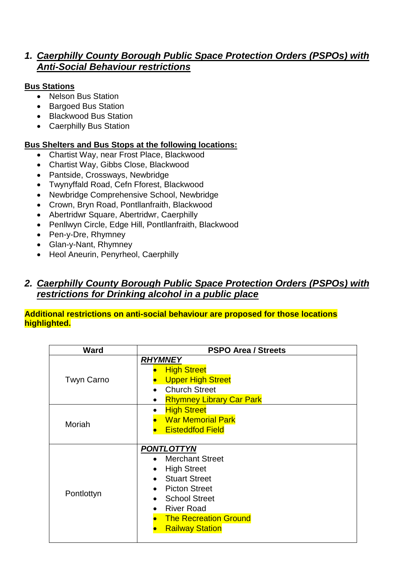# *1. Caerphilly County Borough Public Space Protection Orders (PSPOs) with Anti-Social Behaviour restrictions*

# **Bus Stations**

- Nelson Bus Station
- Bargoed Bus Station
- Blackwood Bus Station
- Caerphilly Bus Station

## **Bus Shelters and Bus Stops at the following locations:**

- Chartist Way, near Frost Place, Blackwood
- Chartist Way, Gibbs Close, Blackwood
- Pantside, Crossways, Newbridge
- Twynyffald Road, Cefn Fforest, Blackwood
- Newbridge Comprehensive School, Newbridge
- Crown, Bryn Road, Pontllanfraith, Blackwood
- Abertridwr Square, Abertridwr, Caerphilly
- Penllwyn Circle, Edge Hill, Pontllanfraith, Blackwood
- Pen-y-Dre, Rhymney
- Glan-y-Nant, Rhymney
- Heol Aneurin, Penyrheol, Caerphilly

# *2. Caerphilly County Borough Public Space Protection Orders (PSPOs) with restrictions for Drinking alcohol in a public place*

### **Additional restrictions on anti-social behaviour are proposed for those locations highlighted.**

| Ward              | <b>PSPO Area / Streets</b>                                                                                                                                                                                          |
|-------------------|---------------------------------------------------------------------------------------------------------------------------------------------------------------------------------------------------------------------|
| <b>Twyn Carno</b> | <b>RHYMNEY</b><br><b>High Street</b><br><b>Upper High Street</b><br><b>Church Street</b><br><b>Rhymney Library Car Park</b>                                                                                         |
| Moriah            | <b>High Street</b><br><b>War Memorial Park</b><br><b>Eisteddfod Field</b>                                                                                                                                           |
| Pontlottyn        | <b>PONTLOTTYN</b><br>• Merchant Street<br><b>High Street</b><br><b>Stuart Street</b><br><b>Picton Street</b><br><b>School Street</b><br><b>River Road</b><br><b>The Recreation Ground</b><br><b>Railway Station</b> |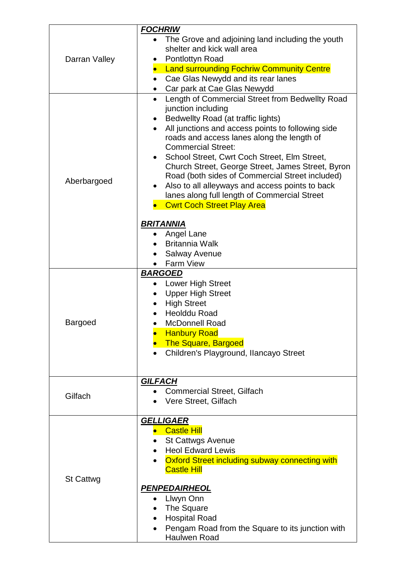|                  | <b>FOCHRIW</b>                                                                     |
|------------------|------------------------------------------------------------------------------------|
|                  | The Grove and adjoining land including the youth                                   |
|                  | shelter and kick wall area                                                         |
| Darran Valley    | Pontlottyn Road                                                                    |
|                  | • Land surrounding Fochriw Community Centre                                        |
|                  | Cae Glas Newydd and its rear lanes<br>$\bullet$                                    |
|                  | Car park at Cae Glas Newydd                                                        |
|                  | Length of Commercial Street from Bedwellty Road<br>$\bullet$<br>junction including |
|                  | Bedwellty Road (at traffic lights)<br>$\bullet$                                    |
|                  | All junctions and access points to following side                                  |
|                  | roads and access lanes along the length of                                         |
|                  | <b>Commercial Street:</b>                                                          |
|                  | School Street, Cwrt Coch Street, Elm Street,<br>$\bullet$                          |
|                  | Church Street, George Street, James Street, Byron                                  |
| Aberbargoed      | Road (both sides of Commercial Street included)                                    |
|                  | Also to all alleyways and access points to back                                    |
|                  | lanes along full length of Commercial Street                                       |
|                  | <b>Cwrt Coch Street Play Area</b>                                                  |
|                  | <b>BRITANNIA</b>                                                                   |
|                  | • Angel Lane                                                                       |
|                  | <b>Britannia Walk</b>                                                              |
|                  | <b>Salway Avenue</b>                                                               |
|                  | Farm View                                                                          |
|                  | <b>BARGOED</b>                                                                     |
|                  | <b>Lower High Street</b>                                                           |
|                  | <b>Upper High Street</b>                                                           |
|                  | <b>High Street</b>                                                                 |
|                  | <b>Heolddu Road</b>                                                                |
| <b>Bargoed</b>   | <b>McDonnell Road</b>                                                              |
|                  | <b>Hanbury Road</b>                                                                |
|                  | <b>The Square, Bargoed</b><br>Children's Playground, Ilancayo Street               |
|                  |                                                                                    |
|                  |                                                                                    |
|                  | <b>GILFACH</b>                                                                     |
| Gilfach          | <b>Commercial Street, Gilfach</b>                                                  |
|                  | Vere Street, Gilfach                                                               |
|                  |                                                                                    |
|                  | <b>GELLIGAER</b>                                                                   |
|                  | <b>Castle Hill</b>                                                                 |
|                  | <b>St Cattwgs Avenue</b>                                                           |
|                  | <b>Heol Edward Lewis</b>                                                           |
|                  | Oxford Street including subway connecting with<br><b>Castle Hill</b>               |
| <b>St Cattwg</b> |                                                                                    |
|                  | <b>PENPEDAIRHEOL</b>                                                               |
|                  | Llwyn Onn                                                                          |
|                  | The Square                                                                         |
|                  | <b>Hospital Road</b>                                                               |
|                  | Pengam Road from the Square to its junction with                                   |
|                  | Haulwen Road                                                                       |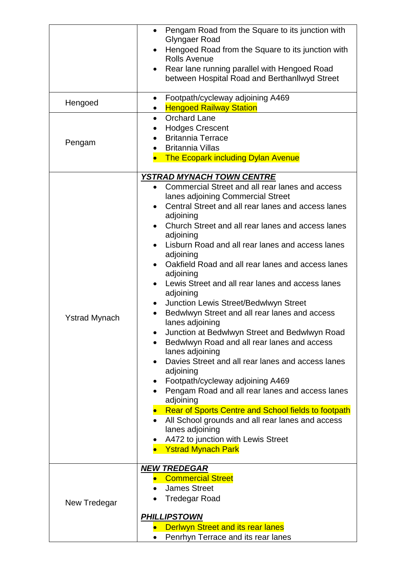| Hengoed<br>Pengam    | Pengam Road from the Square to its junction with<br>$\bullet$<br>Glyngaer Road<br>Hengoed Road from the Square to its junction with<br>$\bullet$<br><b>Rolls Avenue</b><br>Rear lane running parallel with Hengoed Road<br>between Hospital Road and Berthanllwyd Street<br>Footpath/cycleway adjoining A469<br>$\bullet$<br><b>Hengoed Railway Station</b><br>$\bullet$<br><b>Orchard Lane</b><br>$\bullet$<br><b>Hodges Crescent</b><br><b>Britannia Terrace</b><br><b>Britannia Villas</b><br>$\bullet$                                                                                                                                                                                                                                                                                                                                                                                                     |
|----------------------|----------------------------------------------------------------------------------------------------------------------------------------------------------------------------------------------------------------------------------------------------------------------------------------------------------------------------------------------------------------------------------------------------------------------------------------------------------------------------------------------------------------------------------------------------------------------------------------------------------------------------------------------------------------------------------------------------------------------------------------------------------------------------------------------------------------------------------------------------------------------------------------------------------------|
|                      | <b>The Ecopark including Dylan Avenue</b>                                                                                                                                                                                                                                                                                                                                                                                                                                                                                                                                                                                                                                                                                                                                                                                                                                                                      |
| <b>Ystrad Mynach</b> | <b>YSTRAD MYNACH TOWN CENTRE</b><br>Commercial Street and all rear lanes and access<br>lanes adjoining Commercial Street<br>Central Street and all rear lanes and access lanes<br>$\bullet$<br>adjoining<br>Church Street and all rear lanes and access lanes<br>adjoining<br>Lisburn Road and all rear lanes and access lanes<br>adjoining<br>Oakfield Road and all rear lanes and access lanes<br>adjoining<br>Lewis Street and all rear lanes and access lanes<br>$\bullet$<br>adjoining<br>Junction Lewis Street/Bedwlwyn Street<br>$\bullet$<br>Bedwlwyn Street and all rear lanes and access<br>lanes adjoining<br>Junction at Bedwlwyn Street and Bedwlwyn Road<br>Bedwlwyn Road and all rear lanes and access<br>lanes adjoining<br>Davies Street and all rear lanes and access lanes<br>adjoining<br>Footpath/cycleway adjoining A469<br>Pengam Road and all rear lanes and access lanes<br>adjoining |
|                      | Rear of Sports Centre and School fields to footpath<br>All School grounds and all rear lanes and access<br>lanes adjoining<br>A472 to junction with Lewis Street<br><b>Ystrad Mynach Park</b>                                                                                                                                                                                                                                                                                                                                                                                                                                                                                                                                                                                                                                                                                                                  |
| New Tredegar         | <b>NEW TREDEGAR</b><br><b>Commercial Street</b><br><b>James Street</b><br><b>Tredegar Road</b><br><b>PHILLIPSTOWN</b><br><b>Derlwyn Street and its rear lanes</b><br>Penrhyn Terrace and its rear lanes                                                                                                                                                                                                                                                                                                                                                                                                                                                                                                                                                                                                                                                                                                        |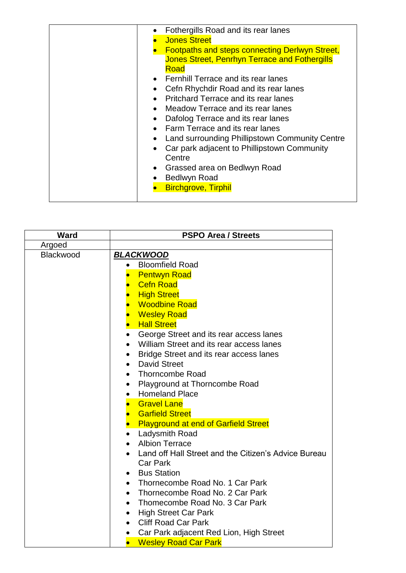| Fothergills Road and its rear lanes<br><b>Jones Street</b><br><b>Footpaths and steps connecting Derlwyn Street,</b><br><b>Jones Street, Penrhyn Terrace and Fothergills</b><br>Road<br>Fernhill Terrace and its rear lanes<br>Cefn Rhychdir Road and its rear lanes<br>Pritchard Terrace and its rear lanes<br>Meadow Terrace and its rear lanes<br>$\bullet$<br>Dafolog Terrace and its rear lanes<br>$\bullet$<br>Farm Terrace and its rear lanes<br>Land surrounding Phillipstown Community Centre<br>Car park adjacent to Phillipstown Community<br>$\bullet$<br>Centre<br>Grassed area on Bedlwyn Road<br>$\bullet$<br><b>Bedlwyn Road</b><br><b>Birchgrove, Tirphil</b> |
|-------------------------------------------------------------------------------------------------------------------------------------------------------------------------------------------------------------------------------------------------------------------------------------------------------------------------------------------------------------------------------------------------------------------------------------------------------------------------------------------------------------------------------------------------------------------------------------------------------------------------------------------------------------------------------|
|-------------------------------------------------------------------------------------------------------------------------------------------------------------------------------------------------------------------------------------------------------------------------------------------------------------------------------------------------------------------------------------------------------------------------------------------------------------------------------------------------------------------------------------------------------------------------------------------------------------------------------------------------------------------------------|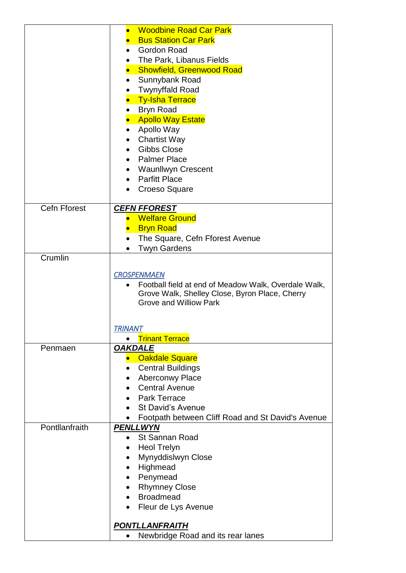|                     | <b>Woodbine Road Car Park</b>                                  |
|---------------------|----------------------------------------------------------------|
|                     |                                                                |
|                     | <b>Bus Station Car Park</b>                                    |
|                     | <b>Gordon Road</b>                                             |
|                     | The Park, Libanus Fields                                       |
|                     | <b>Showfield, Greenwood Road</b><br>$\bullet$                  |
|                     | Sunnybank Road<br>$\bullet$                                    |
|                     |                                                                |
|                     | <b>Twynyffald Road</b>                                         |
|                     | <b>Ty-Isha Terrace</b>                                         |
|                     | <b>Bryn Road</b><br>$\bullet$                                  |
|                     | <b>Apollo Way Estate</b>                                       |
|                     | Apollo Way                                                     |
|                     | <b>Chartist Way</b><br>$\bullet$                               |
|                     | <b>Gibbs Close</b><br>$\bullet$                                |
|                     |                                                                |
|                     | <b>Palmer Place</b>                                            |
|                     | Waunllwyn Crescent                                             |
|                     | <b>Parfitt Place</b><br>$\bullet$                              |
|                     | <b>Croeso Square</b><br>$\bullet$                              |
|                     |                                                                |
| <b>Cefn Fforest</b> | <b>CEFN FFOREST</b>                                            |
|                     | <b>Welfare Ground</b>                                          |
|                     | <b>Bryn Road</b>                                               |
|                     | The Square, Cefn Fforest Avenue<br>$\bullet$                   |
|                     |                                                                |
|                     | <b>Twyn Gardens</b>                                            |
| Crumlin             |                                                                |
|                     |                                                                |
|                     | <b>CROSPENMAEN</b>                                             |
|                     | Football field at end of Meadow Walk, Overdale Walk,           |
|                     | Grove Walk, Shelley Close, Byron Place, Cherry                 |
|                     | <b>Grove and Williow Park</b>                                  |
|                     |                                                                |
|                     | <b>TRINANT</b>                                                 |
|                     | <b>Trinant Terrace</b>                                         |
| Penmaen             | <b>OAKDALE</b>                                                 |
|                     |                                                                |
|                     | <b>Oakdale Square</b>                                          |
|                     | <b>Central Buildings</b><br>$\bullet$                          |
|                     | <b>Aberconwy Place</b>                                         |
|                     | <b>Central Avenue</b><br>$\bullet$                             |
|                     | <b>Park Terrace</b>                                            |
|                     | <b>St David's Avenue</b>                                       |
|                     |                                                                |
|                     | Footpath between Cliff Road and St David's Avenue<br>$\bullet$ |
| Pontllanfraith      | <b>PENLLWYN</b>                                                |
|                     | <b>St Sannan Road</b><br>$\bullet$                             |
|                     | <b>Heol Trelyn</b><br>$\bullet$                                |
|                     | Mynyddislwyn Close<br>$\bullet$                                |
|                     | Highmead                                                       |
|                     | Penymead<br>$\bullet$                                          |
|                     |                                                                |
|                     | <b>Rhymney Close</b>                                           |
|                     | <b>Broadmead</b>                                               |
|                     | Fleur de Lys Avenue                                            |
|                     |                                                                |
|                     | <b>PONTLLANFRAITH</b>                                          |
|                     | Newbridge Road and its rear lanes<br>$\bullet$                 |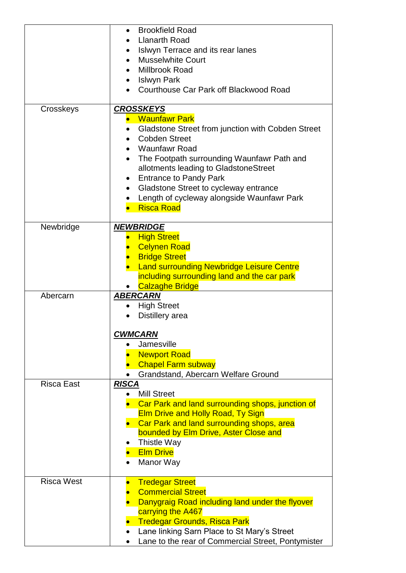|                   | <b>Brookfield Road</b><br>$\bullet$                            |
|-------------------|----------------------------------------------------------------|
|                   | <b>Llanarth Road</b><br>$\bullet$                              |
|                   | Islwyn Terrace and its rear lanes<br>$\bullet$                 |
|                   | <b>Musselwhite Court</b>                                       |
|                   | Millbrook Road                                                 |
|                   | <b>Islwyn Park</b><br>$\bullet$                                |
|                   | Courthouse Car Park off Blackwood Road                         |
|                   |                                                                |
| Crosskeys         | <b>CROSSKEYS</b>                                               |
|                   | <b>Waunfawr Park</b>                                           |
|                   | Gladstone Street from junction with Cobden Street<br>$\bullet$ |
|                   | <b>Cobden Street</b><br>$\bullet$                              |
|                   | <b>Waunfawr Road</b>                                           |
|                   | The Footpath surrounding Waunfawr Path and                     |
|                   | allotments leading to GladstoneStreet                          |
|                   | <b>Entrance to Pandy Park</b>                                  |
|                   | Gladstone Street to cycleway entrance<br>٠                     |
|                   | Length of cycleway alongside Waunfawr Park<br>$\bullet$        |
|                   | <b>Risca Road</b>                                              |
|                   |                                                                |
| Newbridge         | <b>NEWBRIDGE</b>                                               |
|                   | <b>High Street</b>                                             |
|                   | <b>Celynen Road</b>                                            |
|                   | <b>Bridge Street</b>                                           |
|                   | <b>Land surrounding Newbridge Leisure Centre</b>               |
|                   | including surrounding land and the car park                    |
|                   | <b>Calzaghe Bridge</b>                                         |
| Abercarn          | <b>ABERCARN</b>                                                |
|                   | <b>High Street</b>                                             |
|                   | Distillery area                                                |
|                   |                                                                |
|                   | <b>CWMCARN</b>                                                 |
|                   | Jamesville                                                     |
|                   | <b>Newport Road</b>                                            |
|                   | <b>Chapel Farm subway</b>                                      |
|                   | Grandstand, Abercarn Welfare Ground                            |
| <b>Risca East</b> | <b>RISCA</b>                                                   |
|                   | <b>Mill Street</b>                                             |
|                   | <b>Car Park and land surrounding shops, junction of</b>        |
|                   | <b>Elm Drive and Holly Road, Ty Sign</b>                       |
|                   | Car Park and land surrounding shops, area                      |
|                   | bounded by Elm Drive, Aster Close and                          |
|                   | <b>Thistle Way</b>                                             |
|                   | <b>Elm Drive</b>                                               |
|                   | Manor Way<br>$\bullet$                                         |
| <b>Risca West</b> |                                                                |
|                   | <b>Tredegar Street</b><br><b>Commercial Street</b>             |
|                   |                                                                |
|                   | Danygraig Road including land under the flyover                |
|                   | carrying the A467                                              |
|                   | <b>Tredegar Grounds, Risca Park</b>                            |
|                   | Lane linking Sarn Place to St Mary's Street                    |
|                   | Lane to the rear of Commercial Street, Pontymister             |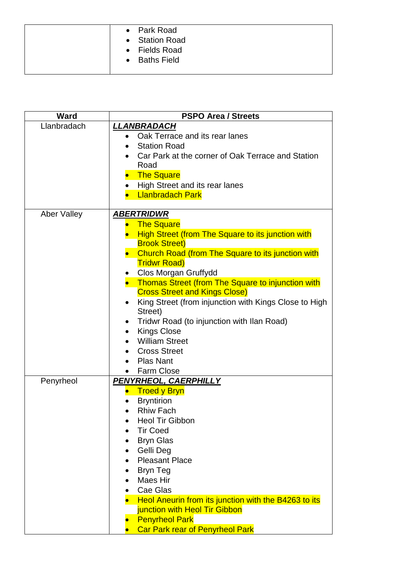|  | • Park Road    |
|--|----------------|
|  | • Station Road |
|  | • Fields Road  |
|  | • Baths Field  |
|  |                |

| <b>Ward</b>        | <b>PSPO Area / Streets</b>                            |
|--------------------|-------------------------------------------------------|
| Llanbradach        | LLANBRADACH                                           |
|                    | Oak Terrace and its rear lanes<br>$\bullet$           |
|                    | <b>Station Road</b><br>$\bullet$                      |
|                    | Car Park at the corner of Oak Terrace and Station     |
|                    | Road                                                  |
|                    | <b>The Square</b><br>$\bullet$                        |
|                    | High Street and its rear lanes<br>$\bullet$           |
|                    | <b>Llanbradach Park</b>                               |
| <b>Aber Valley</b> | <b>ABERTRIDWR</b>                                     |
|                    | <b>The Square</b>                                     |
|                    | High Street (from The Square to its junction with     |
|                    | <b>Brook Street)</b>                                  |
|                    | Church Road (from The Square to its junction with     |
|                    | <b>Tridwr Road)</b>                                   |
|                    | Clos Morgan Gruffydd                                  |
|                    | • Thomas Street (from The Square to injunction with   |
|                    | <b>Cross Street and Kings Close)</b>                  |
|                    | King Street (from injunction with Kings Close to High |
|                    | Street)                                               |
|                    | Tridwr Road (to injunction with Ilan Road)            |
|                    | <b>Kings Close</b>                                    |
|                    | <b>William Street</b>                                 |
|                    | <b>Cross Street</b>                                   |
|                    | <b>Plas Nant</b><br>$\bullet$                         |
|                    | Farm Close                                            |
| Penyrheol          | PENYRHEOL, CAERPHILLY                                 |
|                    | <b>Troed y Bryn</b><br><b>Bryntirion</b>              |
|                    | <b>Rhiw Fach</b><br>$\bullet$                         |
|                    | <b>Heol Tir Gibbon</b>                                |
|                    | <b>Tir Coed</b>                                       |
|                    | <b>Bryn Glas</b>                                      |
|                    | Gelli Deg                                             |
|                    | <b>Pleasant Place</b>                                 |
|                    | <b>Bryn Teg</b>                                       |
|                    | Maes Hir                                              |
|                    | Cae Glas                                              |
|                    | Heol Aneurin from its junction with the B4263 to its  |
|                    | junction with Heol Tir Gibbon                         |
|                    | <b>Penyrheol Park</b>                                 |
|                    | <b>Car Park rear of Penyrheol Park</b>                |
|                    |                                                       |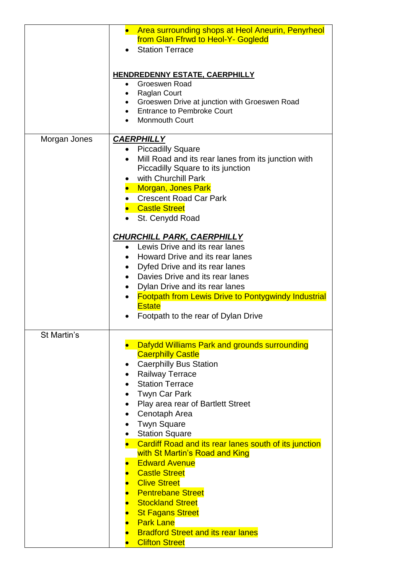|              | • Area surrounding shops at Heol Aneurin, Penyrheol<br>from Glan Ffrwd to Heol-Y- Gogledd<br><b>Station Terrace</b>                                                                                                                                                                                                                                                                                                                                                                                                                                                                                                                                                                          |
|--------------|----------------------------------------------------------------------------------------------------------------------------------------------------------------------------------------------------------------------------------------------------------------------------------------------------------------------------------------------------------------------------------------------------------------------------------------------------------------------------------------------------------------------------------------------------------------------------------------------------------------------------------------------------------------------------------------------|
|              | <b>HENDREDENNY ESTATE, CAERPHILLY</b><br>Groeswen Road<br><b>Raglan Court</b><br>Groeswen Drive at junction with Groeswen Road<br><b>Entrance to Pembroke Court</b><br><b>Monmouth Court</b>                                                                                                                                                                                                                                                                                                                                                                                                                                                                                                 |
| Morgan Jones | <b>CAERPHILLY</b><br><b>Piccadilly Square</b><br>Mill Road and its rear lanes from its junction with<br>Piccadilly Square to its junction<br>with Churchill Park<br><b>Morgan, Jones Park</b><br><b>Crescent Road Car Park</b><br>• Castle Street<br>St. Cenydd Road                                                                                                                                                                                                                                                                                                                                                                                                                         |
|              | <b>CHURCHILL PARK, CAERPHILLY</b><br>Lewis Drive and its rear lanes<br>Howard Drive and its rear lanes<br>Dyfed Drive and its rear lanes<br>$\bullet$<br>Davies Drive and its rear lanes<br>$\bullet$<br>Dylan Drive and its rear lanes<br>$\bullet$<br><b>Footpath from Lewis Drive to Pontygwindy Industrial</b><br><b>Estate</b><br>Footpath to the rear of Dylan Drive                                                                                                                                                                                                                                                                                                                   |
| St Martin's  | Dafydd Williams Park and grounds surrounding<br><b>Caerphilly Castle</b><br><b>Caerphilly Bus Station</b><br>$\bullet$<br><b>Railway Terrace</b><br><b>Station Terrace</b><br>$\bullet$<br><b>Twyn Car Park</b><br>Play area rear of Bartlett Street<br>$\bullet$<br>Cenotaph Area<br>$\bullet$<br><b>Twyn Square</b><br><b>Station Square</b><br>Cardiff Road and its rear lanes south of its junction<br>with St Martin's Road and King<br><b>Edward Avenue</b><br><b>Castle Street</b><br><b>Clive Street</b><br><b>Pentrebane Street</b><br><b>Stockland Street</b><br><b>St Fagans Street</b><br><b>Park Lane</b><br><b>Bradford Street and its rear lanes</b><br><b>Clifton Street</b> |